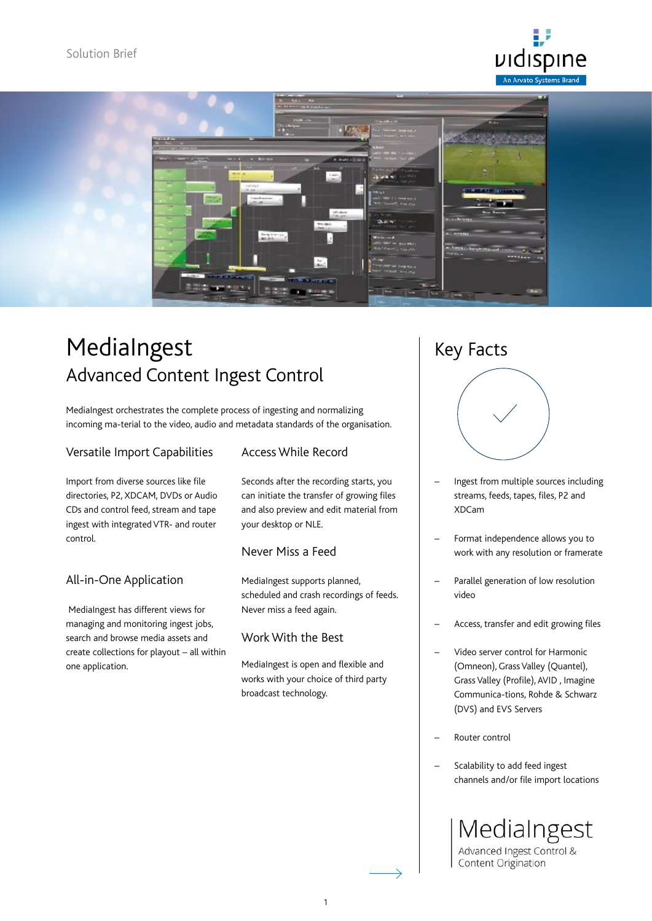



# MediaIngest Advanced Content Ingest Control

MediaIngest orchestrates the complete process of ingesting and normalizing incoming ma-terial to the video, audio and metadata standards of the organisation.

#### Versatile Import Capabilities

Import from diverse sources like file directories, P2, XDCAM, DVDs or Audio CDs and control feed, stream and tape ingest with integrated VTR- and router control.

#### All-in-One Application

 MediaIngest has different views for managing and monitoring ingest jobs, search and browse media assets and create collections for playout – all within one application.

#### Access While Record

Seconds after the recording starts, you can initiate the transfer of growing files and also preview and edit material from your desktop or NLE.

#### Never Miss a Feed

MediaIngest supports planned, scheduled and crash recordings of feeds. Never miss a feed again.

#### Work With the Best

MediaIngest is open and flexible and works with your choice of third party broadcast technology.

## Key Facts



- Ingest from multiple sources including streams, feeds, tapes, files, P2 and XDCam
- Format independence allows you to work with any resolution or framerate
- Parallel generation of low resolution video
- Access, transfer and edit growing files
- Video server control for Harmonic (Omneon), Grass Valley (Quantel), Grass Valley (Profile), AVID , Imagine Communica-tions, Rohde & Schwarz (DVS) and EVS Servers
- Router control
- Scalability to add feed ingest channels and/or file import locations